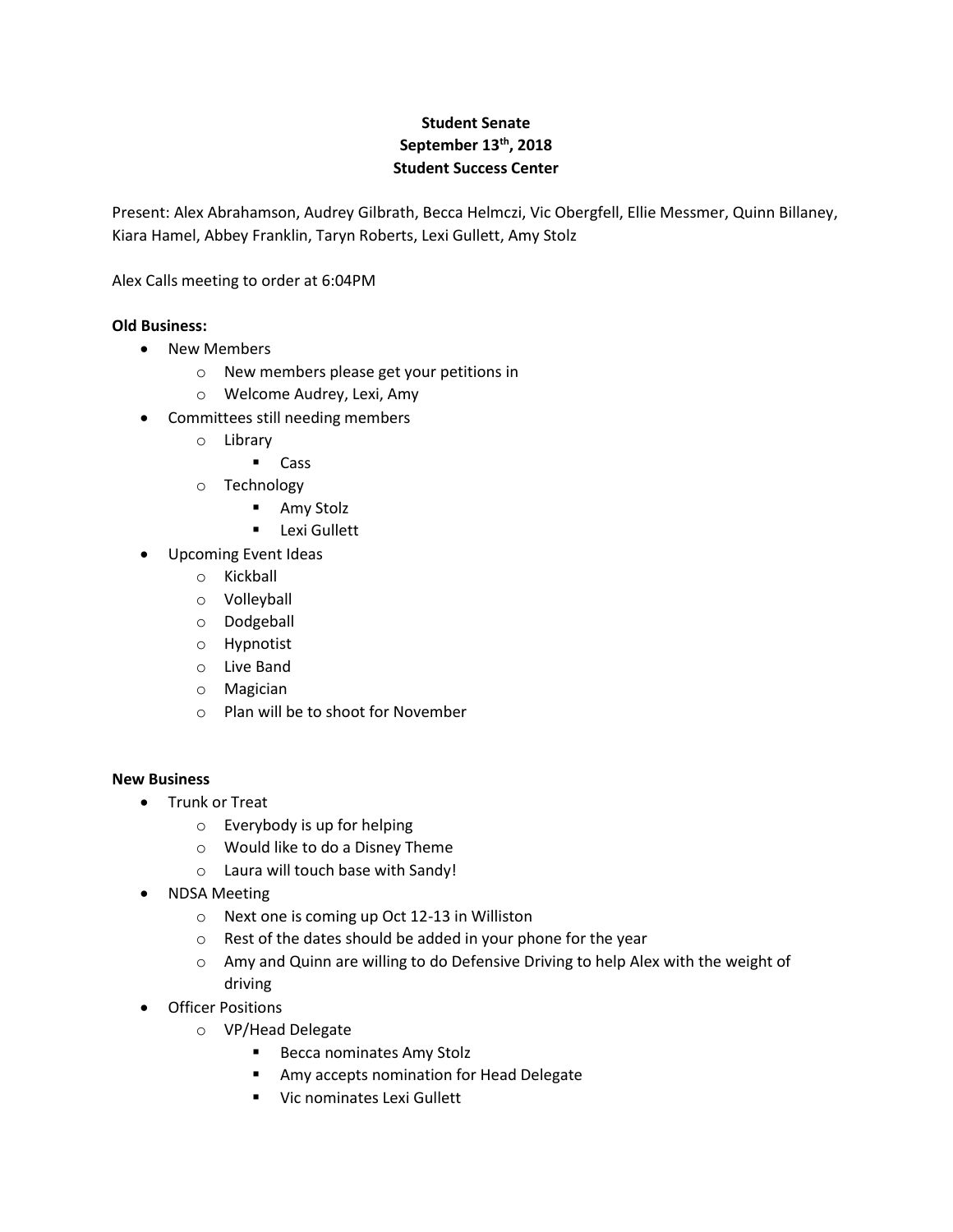## **Student Senate September 13th, 2018 Student Success Center**

Present: Alex Abrahamson, Audrey Gilbrath, Becca Helmczi, Vic Obergfell, Ellie Messmer, Quinn Billaney, Kiara Hamel, Abbey Franklin, Taryn Roberts, Lexi Gullett, Amy Stolz

Alex Calls meeting to order at 6:04PM

## **Old Business:**

- New Members
	- o New members please get your petitions in
	- o Welcome Audrey, Lexi, Amy
- Committees still needing members
	- o Library
		- Cass
	- o Technology
		- **Amy Stolz**
		- **Lexi Gullett**
- Upcoming Event Ideas
	- o Kickball
	- o Volleyball
	- o Dodgeball
	- o Hypnotist
	- o Live Band
	- o Magician
	- o Plan will be to shoot for November

## **New Business**

- Trunk or Treat
	- o Everybody is up for helping
	- o Would like to do a Disney Theme
	- o Laura will touch base with Sandy!
- NDSA Meeting
	- o Next one is coming up Oct 12-13 in Williston
	- o Rest of the dates should be added in your phone for the year
	- o Amy and Quinn are willing to do Defensive Driving to help Alex with the weight of driving
- Officer Positions
	- o VP/Head Delegate
		- **Becca nominates Amy Stolz**
		- **Amy accepts nomination for Head Delegate**
		- **URICA** Vic nominates Lexi Gullett